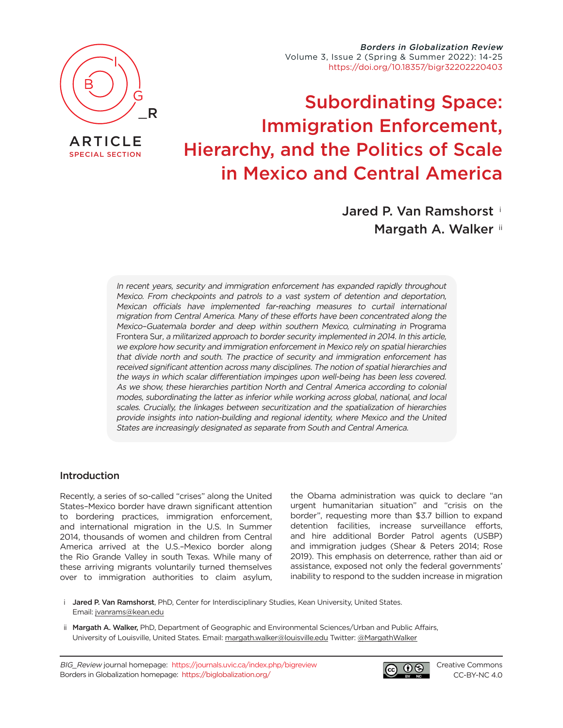

[SPECIAL SECTION](https://journals.uvic.ca/index.php/bigreview/issue/view/1554)

Borders in Globalization Review Volume 3, Issue 2 (Spring & Summer 2022): 14-25 [https://doi.org/10.18357/bigr32202220403](https://doi.org/10.18357/bigr32202220403 )

# Subordinating Space: Immigration Enforcement, Hierarchy, and the Politics of Scale in Mexico and Central America

Jared P. Van Ramshorst <sup>i</sup> Margath A. Walker ii

In recent years, security and immigration enforcement has expanded rapidly throughout Mexico. From checkpoints and patrols to a vast system of detention and deportation, Mexican officials have implemented far-reaching measures to curtail international migration from Central America. Many of these efforts have been concentrated along the Mexico–Guatemala border and deep within southern Mexico, culminating in Programa Frontera Sur, a militarized approach to border security implemented in 2014. In this article, we explore how security and immigration enforcement in Mexico rely on spatial hierarchies that divide north and south. The practice of security and immigration enforcement has received significant attention across many disciplines. The notion of spatial hierarchies and the ways in which scalar differentiation impinges upon well-being has been less covered. As we show, these hierarchies partition North and Central America according to colonial modes, subordinating the latter as inferior while working across global, national, and local scales. Crucially, the linkages between securitization and the spatialization of hierarchies provide insights into nation-building and regional identity, where Mexico and the United States are increasingly designated as separate from South and Central America.

## Introduction

Recently, a series of so-called "crises" along the United States–Mexico border have drawn significant attention to bordering practices, immigration enforcement, and international migration in the U.S. In Summer 2014, thousands of women and children from Central America arrived at the U.S.–Mexico border along the Rio Grande Valley in south Texas. While many of these arriving migrants voluntarily turned themselves over to immigration authorities to claim asylum, the Obama administration was quick to declare "an urgent humanitarian situation" and "crisis on the border", requesting more than \$3.7 billion to expand detention facilities, increase surveillance efforts, and hire additional Border Patrol agents (USBP) and immigration judges (Shear & Peters 2014; Rose 2019). This emphasis on deterrence, rather than aid or assistance, exposed not only the federal governments' inability to respond to the sudden increase in migration

- i Jared P. Van Ramshorst, PhD, Center for Interdisciplinary Studies, Kean University, United States. Email: [jvanrams@kean.edu](mailto:jvanrams%40kean.edu?subject=)
- ii Margath A. Walker, PhD, Department of Geographic and Environmental Sciences/Urban and Public Affairs, University of Louisville, United States. Email: [margath.walker@louisville.edu](mailto:margath.walker%40louisville.edu?subject=) Twitter: [@MargathWalker](https://twitter.com/MargathWalker)

BIG\_Review journal homepage: <https://journals.uvic.ca/index.php/bigreview> Borders in Globalization homepage: <https://biglobalization.org/>



[Creative Commons](https://creativecommons.org/licenses/by-nc/4.0/) [CC-BY-NC 4.0](https://creativecommons.org/licenses/by-nc/4.0/)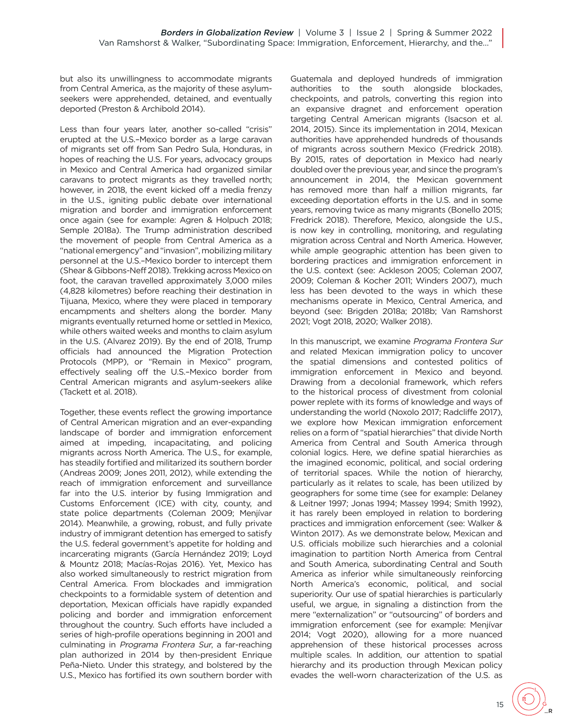but also its unwillingness to accommodate migrants from Central America, as the majority of these asylumseekers were apprehended, detained, and eventually deported (Preston & Archibold 2014).

Less than four years later, another so-called "crisis" erupted at the U.S.–Mexico border as a large caravan of migrants set off from San Pedro Sula, Honduras, in hopes of reaching the U.S. For years, advocacy groups in Mexico and Central America had organized similar caravans to protect migrants as they travelled north; however, in 2018, the event kicked off a media frenzy in the U.S., igniting public debate over international migration and border and immigration enforcement once again (see for example: Agren & Holpuch 2018; Semple 2018a). The Trump administration described the movement of people from Central America as a "national emergency" and "invasion", mobilizing military personnel at the U.S.–Mexico border to intercept them (Shear & Gibbons-Neff 2018). Trekking across Mexico on foot, the caravan travelled approximately 3,000 miles (4,828 kilometres) before reaching their destination in Tijuana, Mexico, where they were placed in temporary encampments and shelters along the border. Many migrants eventually returned home or settled in Mexico, while others waited weeks and months to claim asylum in the U.S. (Alvarez 2019). By the end of 2018, Trump officials had announced the Migration Protection Protocols (MPP), or "Remain in Mexico" program, effectively sealing off the U.S.–Mexico border from Central American migrants and asylum-seekers alike (Tackett et al. 2018).

Together, these events reflect the growing importance of Central American migration and an ever-expanding landscape of border and immigration enforcement aimed at impeding, incapacitating, and policing migrants across North America. The U.S., for example, has steadily fortified and militarized its southern border (Andreas 2009; Jones 2011, 2012), while extending the reach of immigration enforcement and surveillance far into the U.S. interior by fusing Immigration and Customs Enforcement (ICE) with city, county, and state police departments (Coleman 2009; Menjívar 2014). Meanwhile, a growing, robust, and fully private industry of immigrant detention has emerged to satisfy the U.S. federal government's appetite for holding and incarcerating migrants (García Hernández 2019; Loyd & Mountz 2018; Macías-Rojas 2016). Yet, Mexico has also worked simultaneously to restrict migration from Central America. From blockades and immigration checkpoints to a formidable system of detention and deportation, Mexican officials have rapidly expanded policing and border and immigration enforcement throughout the country. Such efforts have included a series of high-profile operations beginning in 2001 and culminating in Programa Frontera Sur, a far-reaching plan authorized in 2014 by then-president Enrique Peña-Nieto. Under this strategy, and bolstered by the U.S., Mexico has fortified its own southern border with Guatemala and deployed hundreds of immigration authorities to the south alongside blockades, checkpoints, and patrols, converting this region into an expansive dragnet and enforcement operation targeting Central American migrants (Isacson et al. 2014, 2015). Since its implementation in 2014, Mexican authorities have apprehended hundreds of thousands of migrants across southern Mexico (Fredrick 2018). By 2015, rates of deportation in Mexico had nearly doubled over the previous year, and since the program's announcement in 2014, the Mexican government has removed more than half a million migrants, far exceeding deportation efforts in the U.S. and in some years, removing twice as many migrants (Bonello 2015; Fredrick 2018). Therefore, Mexico, alongside the U.S., is now key in controlling, monitoring, and regulating migration across Central and North America. However, while ample geographic attention has been given to bordering practices and immigration enforcement in the U.S. context (see: Ackleson 2005; Coleman 2007, 2009; Coleman & Kocher 2011; Winders 2007), much less has been devoted to the ways in which these mechanisms operate in Mexico, Central America, and beyond (see: Brigden 2018a; 2018b; Van Ramshorst 2021; Vogt 2018, 2020; Walker 2018).

In this manuscript, we examine Programa Frontera Sur and related Mexican immigration policy to uncover the spatial dimensions and contested politics of immigration enforcement in Mexico and beyond. Drawing from a decolonial framework, which refers to the historical process of divestment from colonial power replete with its forms of knowledge and ways of understanding the world (Noxolo 2017; Radcliffe 2017), we explore how Mexican immigration enforcement relies on a form of "spatial hierarchies" that divide North America from Central and South America through colonial logics. Here, we define spatial hierarchies as the imagined economic, political, and social ordering of territorial spaces. While the notion of hierarchy, particularly as it relates to scale, has been utilized by geographers for some time (see for example: Delaney & Leitner 1997; Jonas 1994; Massey 1994; Smith 1992), it has rarely been employed in relation to bordering practices and immigration enforcement (see: Walker & Winton 2017). As we demonstrate below, Mexican and U.S. officials mobilize such hierarchies and a colonial imagination to partition North America from Central and South America, subordinating Central and South America as inferior while simultaneously reinforcing North America's economic, political, and social superiority. Our use of spatial hierarchies is particularly useful, we argue, in signaling a distinction from the mere "externalization" or "outsourcing" of borders and immigration enforcement (see for example: Menjívar 2014; Vogt 2020), allowing for a more nuanced apprehension of these historical processes across multiple scales. In addition, our attention to spatial hierarchy and its production through Mexican policy evades the well-worn characterization of the U.S. as

\_R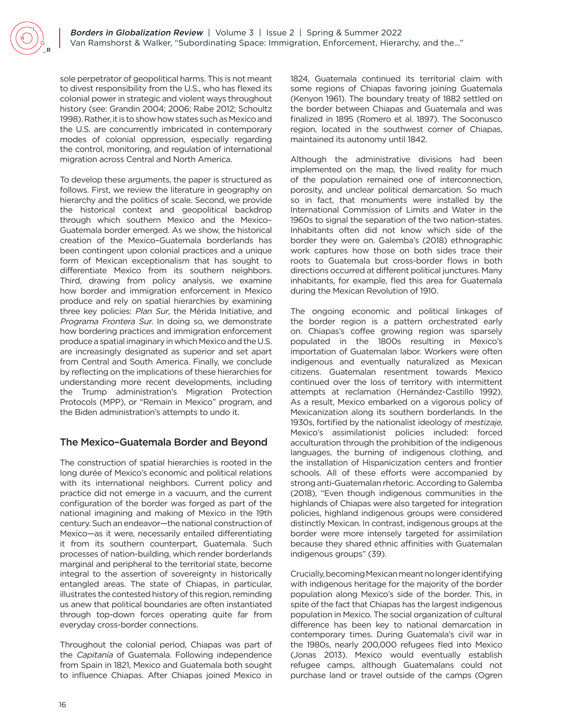sole perpetrator of geopolitical harms. This is not meant to divest responsibility from the U.S., who has flexed its colonial power in strategic and violent ways throughout history (see: Grandin 2004; 2006; Rabe 2012; Schoultz 1998). Rather, it is to show how states such as Mexico and the U.S. are concurrently imbricated in contemporary modes of colonial oppression, especially regarding the control, monitoring, and regulation of international migration across Central and North America.

To develop these arguments, the paper is structured as follows. First, we review the literature in geography on hierarchy and the politics of scale. Second, we provide the historical context and geopolitical backdrop through which southern Mexico and the Mexico– Guatemala border emerged. As we show, the historical creation of the Mexico–Guatemala borderlands has been contingent upon colonial practices and a unique form of Mexican exceptionalism that has sought to differentiate Mexico from its southern neighbors. Third, drawing from policy analysis, we examine how border and immigration enforcement in Mexico produce and rely on spatial hierarchies by examining three key policies: Plan Sur, the Mérida Initiative, and Programa Frontera Sur. In doing so, we demonstrate how bordering practices and immigration enforcement produce a spatial imaginary in which Mexico and the U.S. are increasingly designated as superior and set apart from Central and South America. Finally, we conclude by reflecting on the implications of these hierarchies for understanding more recent developments, including the Trump administration's Migration Protection Protocols (MPP), or "Remain in Mexico" program, and the Biden administration's attempts to undo it.

# The Mexico–Guatemala Border and Beyond

The construction of spatial hierarchies is rooted in the long durée of Mexico's economic and political relations with its international neighbors. Current policy and practice did not emerge in a vacuum, and the current configuration of the border was forged as part of the national imagining and making of Mexico in the 19th century. Such an endeavor—the national construction of Mexico—as it were, necessarily entailed differentiating it from its southern counterpart, Guatemala. Such processes of nation-building, which render borderlands marginal and peripheral to the territorial state, become integral to the assertion of sovereignty in historically entangled areas. The state of Chiapas, in particular, illustrates the contested history of this region, reminding us anew that political boundaries are often instantiated through top-down forces operating quite far from everyday cross-border connections.

Throughout the colonial period, Chiapas was part of the Capitanía of Guatemala. Following independence from Spain in 1821, Mexico and Guatemala both sought to influence Chiapas. After Chiapas joined Mexico in 1824, Guatemala continued its territorial claim with some regions of Chiapas favoring joining Guatemala (Kenyon 1961). The boundary treaty of 1882 settled on the border between Chiapas and Guatemala and was finalized in 1895 (Romero et al. 1897). The Soconusco region, located in the southwest corner of Chiapas, maintained its autonomy until 1842.

Although the administrative divisions had been implemented on the map, the lived reality for much of the population remained one of interconnection, porosity, and unclear political demarcation. So much so in fact, that monuments were installed by the International Commission of Limits and Water in the 1960s to signal the separation of the two nation-states. Inhabitants often did not know which side of the border they were on. Galemba's (2018) ethnographic work captures how those on both sides trace their roots to Guatemala but cross-border flows in both directions occurred at different political junctures. Many inhabitants, for example, fled this area for Guatemala during the Mexican Revolution of 1910.

The ongoing economic and political linkages of the border region is a pattern orchestrated early on. Chiapas's coffee growing region was sparsely populated in the 1800s resulting in Mexico's importation of Guatemalan labor. Workers were often indigenous and eventually naturalized as Mexican citizens. Guatemalan resentment towards Mexico continued over the loss of territory with intermittent attempts at reclamation (Hernández-Castillo 1992). As a result, Mexico embarked on a vigorous policy of Mexicanization along its southern borderlands. In the 1930s, fortified by the nationalist ideology of mestizaje, Mexico's assimilationist policies included: forced acculturation through the prohibition of the indigenous languages, the burning of indigenous clothing, and the installation of Hispanicization centers and frontier schools. All of these efforts were accompanied by strong anti-Guatemalan rhetoric. According to Galemba (2018), "Even though indigenous communities in the highlands of Chiapas were also targeted for integration policies, highland indigenous groups were considered distinctly Mexican. In contrast, indigenous groups at the border were more intensely targeted for assimilation because they shared ethnic affinities with Guatemalan indigenous groups" (39).

Crucially, becoming Mexican meant no longer identifying with indigenous heritage for the majority of the border population along Mexico's side of the border. This, in spite of the fact that Chiapas has the largest indigenous population in Mexico. The social organization of cultural difference has been key to national demarcation in contemporary times. During Guatemala's civil war in the 1980s, nearly 200,000 refugees fled into Mexico (Jonas 2013). Mexico would eventually establish refugee camps, although Guatemalans could not purchase land or travel outside of the camps (Ogren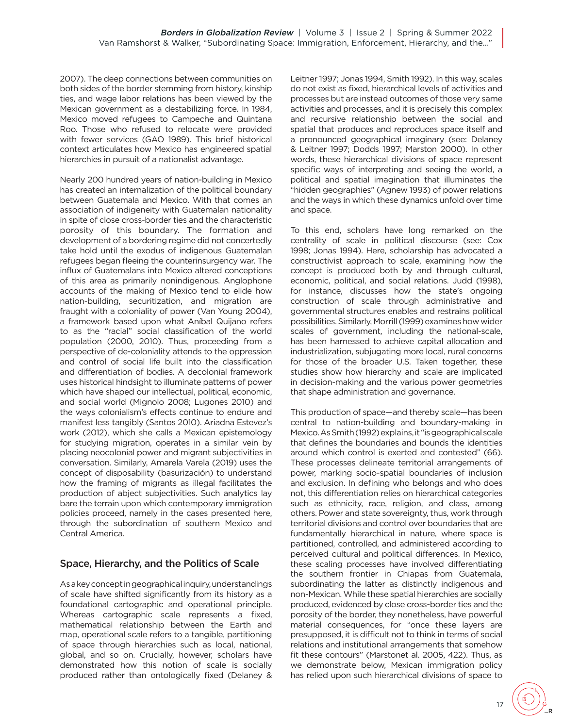2007). The deep connections between communities on both sides of the border stemming from history, kinship ties, and wage labor relations has been viewed by the Mexican government as a destabilizing force. In 1984, Mexico moved refugees to Campeche and Quintana Roo. Those who refused to relocate were provided with fewer services (GAO 1989). This brief historical context articulates how Mexico has engineered spatial hierarchies in pursuit of a nationalist advantage.

Nearly 200 hundred years of nation-building in Mexico has created an internalization of the political boundary between Guatemala and Mexico. With that comes an association of indigeneity with Guatemalan nationality in spite of close cross-border ties and the characteristic porosity of this boundary. The formation and development of a bordering regime did not concertedly take hold until the exodus of indigenous Guatemalan refugees began fleeing the counterinsurgency war. The influx of Guatemalans into Mexico altered conceptions of this area as primarily nonindigenous. Anglophone accounts of the making of Mexico tend to elide how nation-building, securitization, and migration are fraught with a coloniality of power (Van Young 2004), a framework based upon what Aníbal Quijano refers to as the "racial" social classification of the world population (2000, 2010). Thus, proceeding from a perspective of de-coloniality attends to the oppression and control of social life built into the classification and differentiation of bodies. A decolonial framework uses historical hindsight to illuminate patterns of power which have shaped our intellectual, political, economic, and social world (Mignolo 2008; Lugones 2010) and the ways colonialism's effects continue to endure and manifest less tangibly (Santos 2010). Ariadna Estevez's work (2012), which she calls a Mexican epistemology for studying migration, operates in a similar vein by placing neocolonial power and migrant subjectivities in conversation. Similarly, Amarela Varela (2019) uses the concept of disposability (basurización) to understand how the framing of migrants as illegal facilitates the production of abject subjectivities. Such analytics lay bare the terrain upon which contemporary immigration policies proceed, namely in the cases presented here, through the subordination of southern Mexico and Central America.

## Space, Hierarchy, and the Politics of Scale

As a key concept in geographical inquiry, understandings of scale have shifted significantly from its history as a foundational cartographic and operational principle. Whereas cartographic scale represents a fixed, mathematical relationship between the Earth and map, operational scale refers to a tangible, partitioning of space through hierarchies such as local, national, global, and so on. Crucially, however, scholars have demonstrated how this notion of scale is socially produced rather than ontologically fixed (Delaney & Leitner 1997; Jonas 1994, Smith 1992). In this way, scales do not exist as fixed, hierarchical levels of activities and processes but are instead outcomes of those very same activities and processes, and it is precisely this complex and recursive relationship between the social and spatial that produces and reproduces space itself and a pronounced geographical imaginary (see: Delaney & Leitner 1997; Dodds 1997; Marston 2000). In other words, these hierarchical divisions of space represent specific ways of interpreting and seeing the world, a political and spatial imagination that illuminates the "hidden geographies" (Agnew 1993) of power relations and the ways in which these dynamics unfold over time and space.

To this end, scholars have long remarked on the centrality of scale in political discourse (see: Cox 1998; Jonas 1994). Here, scholarship has advocated a constructivist approach to scale, examining how the concept is produced both by and through cultural, economic, political, and social relations. Judd (1998), for instance, discusses how the state's ongoing construction of scale through administrative and governmental structures enables and restrains political possibilities. Similarly, Morrill (1999) examines how wider scales of government, including the national-scale, has been harnessed to achieve capital allocation and industrialization, subjugating more local, rural concerns for those of the broader U.S. Taken together, these studies show how hierarchy and scale are implicated in decision-making and the various power geometries that shape administration and governance.

This production of space—and thereby scale—has been central to nation-building and boundary-making in Mexico. As Smith (1992) explains, it "is geographical scale that defines the boundaries and bounds the identities around which control is exerted and contested" (66). These processes delineate territorial arrangements of power, marking socio-spatial boundaries of inclusion and exclusion. In defining who belongs and who does not, this differentiation relies on hierarchical categories such as ethnicity, race, religion, and class, among others. Power and state sovereignty, thus, work through territorial divisions and control over boundaries that are fundamentally hierarchical in nature, where space is partitioned, controlled, and administered according to perceived cultural and political differences. In Mexico, these scaling processes have involved differentiating the southern frontier in Chiapas from Guatemala, subordinating the latter as distinctly indigenous and non-Mexican. While these spatial hierarchies are socially produced, evidenced by close cross-border ties and the porosity of the border, they nonetheless, have powerful material consequences, for "once these layers are presupposed, it is difficult not to think in terms of social relations and institutional arrangements that somehow fit these contours" (Marstonet al. 2005, 422). Thus, as we demonstrate below, Mexican immigration policy has relied upon such hierarchical divisions of space to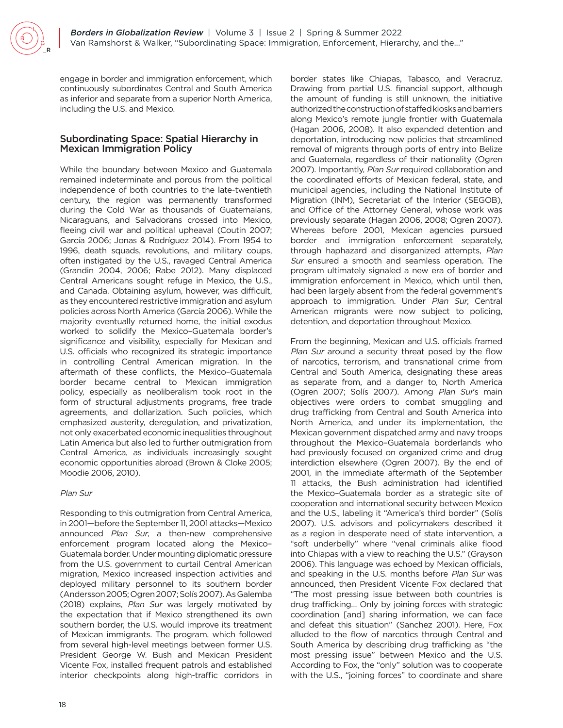engage in border and immigration enforcement, which continuously subordinates Central and South America as inferior and separate from a superior North America, including the U.S. and Mexico.

## Subordinating Space: Spatial Hierarchy in Mexican Immigration Policy

While the boundary between Mexico and Guatemala remained indeterminate and porous from the political independence of both countries to the late-twentieth century, the region was permanently transformed during the Cold War as thousands of Guatemalans, Nicaraguans, and Salvadorans crossed into Mexico, fleeing civil war and political upheaval (Coutin 2007; García 2006; Jonas & Rodríguez 2014). From 1954 to 1996, death squads, revolutions, and military coups, often instigated by the U.S., ravaged Central America (Grandin 2004, 2006; Rabe 2012). Many displaced Central Americans sought refuge in Mexico, the U.S., and Canada. Obtaining asylum, however, was difficult, as they encountered restrictive immigration and asylum policies across North America (García 2006). While the majority eventually returned home, the initial exodus worked to solidify the Mexico–Guatemala border's significance and visibility, especially for Mexican and U.S. officials who recognized its strategic importance in controlling Central American migration. In the aftermath of these conflicts, the Mexico–Guatemala border became central to Mexican immigration policy, especially as neoliberalism took root in the form of structural adjustments programs, free trade agreements, and dollarization. Such policies, which emphasized austerity, deregulation, and privatization, not only exacerbated economic inequalities throughout Latin America but also led to further outmigration from Central America, as individuals increasingly sought economic opportunities abroad (Brown & Cloke 2005; Moodie 2006, 2010).

#### Plan Sur

Responding to this outmigration from Central America, in 2001—before the September 11, 2001 attacks—Mexico announced Plan Sur, a then-new comprehensive enforcement program located along the Mexico– Guatemala border. Under mounting diplomatic pressure from the U.S. government to curtail Central American migration, Mexico increased inspection activities and deployed military personnel to its southern border (Andersson 2005; Ogren 2007; Solís 2007). As Galemba (2018) explains, Plan Sur was largely motivated by the expectation that if Mexico strengthened its own southern border, the U.S. would improve its treatment of Mexican immigrants. The program, which followed from several high-level meetings between former U.S. President George W. Bush and Mexican President Vicente Fox, installed frequent patrols and established interior checkpoints along high-traffic corridors in

border states like Chiapas, Tabasco, and Veracruz. Drawing from partial U.S. financial support, although the amount of funding is still unknown, the initiative authorized the construction of staffed kiosks and barriers along Mexico's remote jungle frontier with Guatemala (Hagan 2006, 2008). It also expanded detention and deportation, introducing new policies that streamlined removal of migrants through ports of entry into Belize and Guatemala, regardless of their nationality (Ogren 2007). Importantly, Plan Sur required collaboration and the coordinated efforts of Mexican federal, state, and municipal agencies, including the National Institute of Migration (INM), Secretariat of the Interior (SEGOB), and Office of the Attorney General, whose work was previously separate (Hagan 2006, 2008; Ogren 2007). Whereas before 2001, Mexican agencies pursued border and immigration enforcement separately, through haphazard and disorganized attempts, Plan Sur ensured a smooth and seamless operation. The program ultimately signaled a new era of border and immigration enforcement in Mexico, which until then, had been largely absent from the federal government's approach to immigration. Under Plan Sur, Central American migrants were now subject to policing, detention, and deportation throughout Mexico.

From the beginning, Mexican and U.S. officials framed Plan Sur around a security threat posed by the flow of narcotics, terrorism, and transnational crime from Central and South America, designating these areas as separate from, and a danger to, North America (Ogren 2007; Solís 2007). Among Plan Sur's main objectives were orders to combat smuggling and drug trafficking from Central and South America into North America, and under its implementation, the Mexican government dispatched army and navy troops throughout the Mexico–Guatemala borderlands who had previously focused on organized crime and drug interdiction elsewhere (Ogren 2007). By the end of 2001, in the immediate aftermath of the September 11 attacks, the Bush administration had identified the Mexico–Guatemala border as a strategic site of cooperation and international security between Mexico and the U.S., labeling it "America's third border" (Solís 2007). U.S. advisors and policymakers described it as a region in desperate need of state intervention, a "soft underbelly" where "venal criminals alike flood into Chiapas with a view to reaching the U.S." (Grayson 2006). This language was echoed by Mexican officials, and speaking in the U.S. months before Plan Sur was announced, then President Vicente Fox declared that "The most pressing issue between both countries is drug trafficking… Only by joining forces with strategic coordination [and] sharing information, we can face and defeat this situation" (Sanchez 2001). Here, Fox alluded to the flow of narcotics through Central and South America by describing drug trafficking as "the most pressing issue" between Mexico and the U.S. According to Fox, the "only" solution was to cooperate with the U.S., "joining forces" to coordinate and share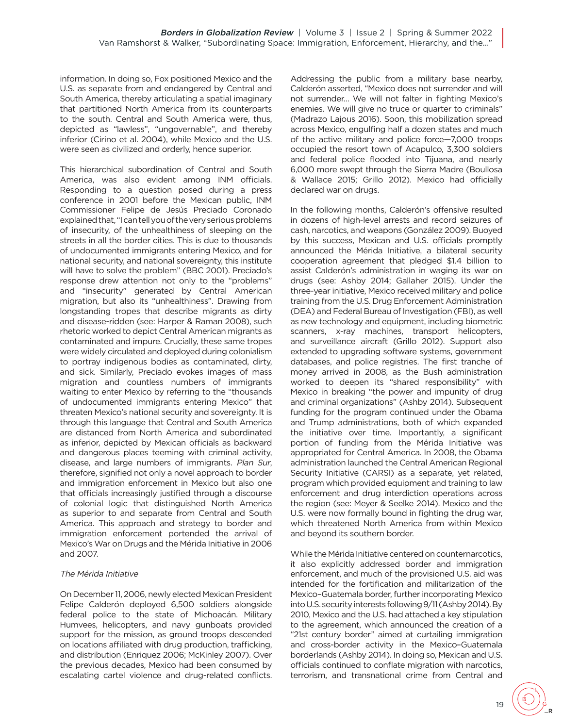information. In doing so, Fox positioned Mexico and the U.S. as separate from and endangered by Central and South America, thereby articulating a spatial imaginary that partitioned North America from its counterparts to the south. Central and South America were, thus, depicted as "lawless", "ungovernable", and thereby inferior (Cirino et al. 2004), while Mexico and the U.S. were seen as civilized and orderly, hence superior.

This hierarchical subordination of Central and South America, was also evident among INM officials. Responding to a question posed during a press conference in 2001 before the Mexican public, INM Commissioner Felipe de Jesús Preciado Coronado explained that, "I can tell you of the very serious problems of insecurity, of the unhealthiness of sleeping on the streets in all the border cities. This is due to thousands of undocumented immigrants entering Mexico, and for national security, and national sovereignty, this institute will have to solve the problem" (BBC 2001). Preciado's response drew attention not only to the "problems" and "insecurity" generated by Central American migration, but also its "unhealthiness". Drawing from longstanding tropes that describe migrants as dirty and disease-ridden (see: Harper & Raman 2008), such rhetoric worked to depict Central American migrants as contaminated and impure. Crucially, these same tropes were widely circulated and deployed during colonialism to portray indigenous bodies as contaminated, dirty, and sick. Similarly, Preciado evokes images of mass migration and countless numbers of immigrants waiting to enter Mexico by referring to the "thousands of undocumented immigrants entering Mexico" that threaten Mexico's national security and sovereignty. It is through this language that Central and South America are distanced from North America and subordinated as inferior, depicted by Mexican officials as backward and dangerous places teeming with criminal activity, disease, and large numbers of immigrants. Plan Sur, therefore, signified not only a novel approach to border and immigration enforcement in Mexico but also one that officials increasingly justified through a discourse of colonial logic that distinguished North America as superior to and separate from Central and South America. This approach and strategy to border and immigration enforcement portended the arrival of Mexico's War on Drugs and the Mérida Initiative in 2006 and 2007.

#### The Mérida Initiative

On December 11, 2006, newly elected Mexican President Felipe Calderón deployed 6,500 soldiers alongside federal police to the state of Michoacán. Military Humvees, helicopters, and navy gunboats provided support for the mission, as ground troops descended on locations affiliated with drug production, trafficking, and distribution (Enriquez 2006; McKinley 2007). Over the previous decades, Mexico had been consumed by escalating cartel violence and drug-related conflicts. Addressing the public from a military base nearby, Calderón asserted, "Mexico does not surrender and will not surrender… We will not falter in fighting Mexico's enemies. We will give no truce or quarter to criminals" (Madrazo Lajous 2016). Soon, this mobilization spread across Mexico, engulfing half a dozen states and much of the active military and police force—7,000 troops occupied the resort town of Acapulco, 3,300 soldiers and federal police flooded into Tijuana, and nearly 6,000 more swept through the Sierra Madre (Boullosa & Wallace 2015; Grillo 2012). Mexico had officially declared war on drugs.

In the following months, Calderón's offensive resulted in dozens of high-level arrests and record seizures of cash, narcotics, and weapons (González 2009). Buoyed by this success, Mexican and U.S. officials promptly announced the Mérida Initiative, a bilateral security cooperation agreement that pledged \$1.4 billion to assist Calderón's administration in waging its war on drugs (see: Ashby 2014; Gallaher 2015). Under the three-year initiative, Mexico received military and police training from the U.S. Drug Enforcement Administration (DEA) and Federal Bureau of Investigation (FBI), as well as new technology and equipment, including biometric scanners, x-ray machines, transport helicopters, and surveillance aircraft (Grillo 2012). Support also extended to upgrading software systems, government databases, and police registries. The first tranche of money arrived in 2008, as the Bush administration worked to deepen its "shared responsibility" with Mexico in breaking "the power and impunity of drug and criminal organizations" (Ashby 2014). Subsequent funding for the program continued under the Obama and Trump administrations, both of which expanded the initiative over time. Importantly, a significant portion of funding from the Mérida Initiative was appropriated for Central America. In 2008, the Obama administration launched the Central American Regional Security Initiative (CARSI) as a separate, yet related, program which provided equipment and training to law enforcement and drug interdiction operations across the region (see: Meyer & Seelke 2014). Mexico and the U.S. were now formally bound in fighting the drug war, which threatened North America from within Mexico and beyond its southern border.

While the Mérida Initiative centered on counternarcotics, it also explicitly addressed border and immigration enforcement, and much of the provisioned U.S. aid was intended for the fortification and militarization of the Mexico–Guatemala border, further incorporating Mexico into U.S. security interests following 9/11 (Ashby 2014). By 2010, Mexico and the U.S. had attached a key stipulation to the agreement, which announced the creation of a "21st century border" aimed at curtailing immigration and cross-border activity in the Mexico–Guatemala borderlands (Ashby 2014). In doing so, Mexican and U.S. officials continued to conflate migration with narcotics, terrorism, and transnational crime from Central and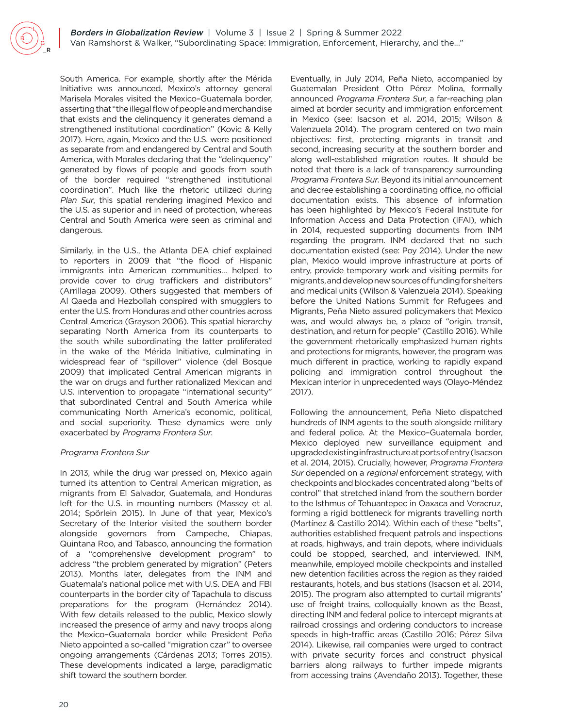South America. For example, shortly after the Mérida Initiative was announced, Mexico's attorney general Marisela Morales visited the Mexico–Guatemala border, asserting that "the illegal flow of people and merchandise that exists and the delinquency it generates demand a strengthened institutional coordination" (Kovic & Kelly 2017). Here, again, Mexico and the U.S. were positioned as separate from and endangered by Central and South America, with Morales declaring that the "delinquency" generated by flows of people and goods from south of the border required "strengthened institutional coordination". Much like the rhetoric utilized during Plan Sur, this spatial rendering imagined Mexico and the U.S. as superior and in need of protection, whereas Central and South America were seen as criminal and dangerous.

Similarly, in the U.S., the Atlanta DEA chief explained to reporters in 2009 that "the flood of Hispanic immigrants into American communities… helped to provide cover to drug traffickers and distributors" (Arrillaga 2009). Others suggested that members of Al Qaeda and Hezbollah conspired with smugglers to enter the U.S. from Honduras and other countries across Central America (Grayson 2006). This spatial hierarchy separating North America from its counterparts to the south while subordinating the latter proliferated in the wake of the Mérida Initiative, culminating in widespread fear of "spillover" violence (del Bosque 2009) that implicated Central American migrants in the war on drugs and further rationalized Mexican and U.S. intervention to propagate "international security" that subordinated Central and South America while communicating North America's economic, political, and social superiority. These dynamics were only exacerbated by Programa Frontera Sur.

#### Programa Frontera Sur

In 2013, while the drug war pressed on, Mexico again turned its attention to Central American migration, as migrants from El Salvador, Guatemala, and Honduras left for the U.S. in mounting numbers (Massey et al. 2014; Spörlein 2015). In June of that year, Mexico's Secretary of the Interior visited the southern border alongside governors from Campeche, Chiapas, Quintana Roo, and Tabasco, announcing the formation of a "comprehensive development program" to address "the problem generated by migration" (Peters 2013). Months later, delegates from the INM and Guatemala's national police met with U.S. DEA and FBI counterparts in the border city of Tapachula to discuss preparations for the program (Hernández 2014). With few details released to the public, Mexico slowly increased the presence of army and navy troops along the Mexico–Guatemala border while President Peña Nieto appointed a so-called "migration czar" to oversee ongoing arrangements (Cárdenas 2013; Torres 2015). These developments indicated a large, paradigmatic shift toward the southern border.

Eventually, in July 2014, Peña Nieto, accompanied by Guatemalan President Otto Pérez Molina, formally announced Programa Frontera Sur, a far-reaching plan aimed at border security and immigration enforcement in Mexico (see: Isacson et al. 2014, 2015; Wilson & Valenzuela 2014). The program centered on two main objectives: first, protecting migrants in transit and second, increasing security at the southern border and along well-established migration routes. It should be noted that there is a lack of transparency surrounding Programa Frontera Sur. Beyond its initial announcement and decree establishing a coordinating office, no official documentation exists. This absence of information has been highlighted by Mexico's Federal Institute for Information Access and Data Protection (IFAI), which in 2014, requested supporting documents from INM regarding the program. INM declared that no such documentation existed (see: Poy 2014). Under the new plan, Mexico would improve infrastructure at ports of entry, provide temporary work and visiting permits for migrants, and develop new sources of funding for shelters and medical units (Wilson & Valenzuela 2014). Speaking before the United Nations Summit for Refugees and Migrants, Peña Nieto assured policymakers that Mexico was, and would always be, a place of "origin, transit, destination, and return for people" (Castillo 2016). While the government rhetorically emphasized human rights and protections for migrants, however, the program was much different in practice, working to rapidly expand policing and immigration control throughout the Mexican interior in unprecedented ways (Olayo-Méndez 2017).

Following the announcement, Peña Nieto dispatched hundreds of INM agents to the south alongside military and federal police. At the Mexico–Guatemala border, Mexico deployed new surveillance equipment and upgraded existing infrastructure at ports of entry (Isacson et al. 2014, 2015). Crucially, however, Programa Frontera Sur depended on a regional enforcement strategy, with checkpoints and blockades concentrated along "belts of control" that stretched inland from the southern border to the Isthmus of Tehuantepec in Oaxaca and Veracruz, forming a rigid bottleneck for migrants travelling north (Martínez & Castillo 2014). Within each of these "belts", authorities established frequent patrols and inspections at roads, highways, and train depots, where individuals could be stopped, searched, and interviewed. INM, meanwhile, employed mobile checkpoints and installed new detention facilities across the region as they raided restaurants, hotels, and bus stations (Isacson et al. 2014, 2015). The program also attempted to curtail migrants' use of freight trains, colloquially known as the Beast, directing INM and federal police to intercept migrants at railroad crossings and ordering conductors to increase speeds in high-traffic areas (Castillo 2016; Pérez Silva 2014). Likewise, rail companies were urged to contract with private security forces and construct physical barriers along railways to further impede migrants from accessing trains (Avendaño 2013). Together, these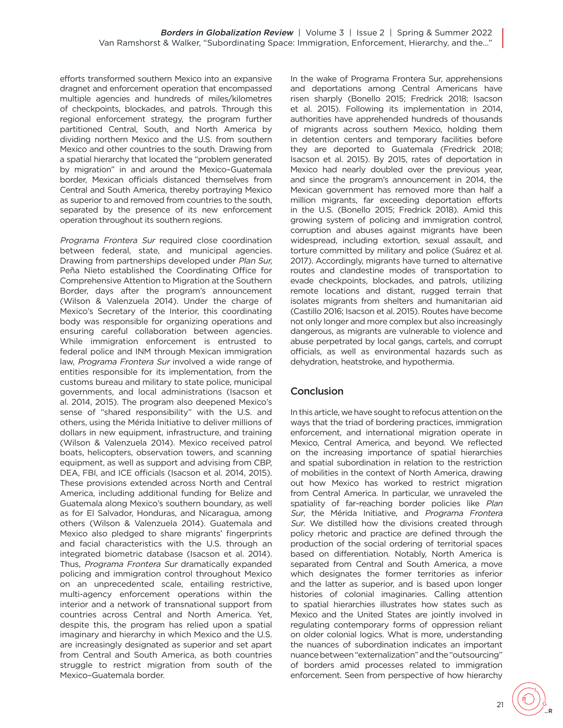efforts transformed southern Mexico into an expansive dragnet and enforcement operation that encompassed multiple agencies and hundreds of miles/kilometres of checkpoints, blockades, and patrols. Through this regional enforcement strategy, the program further partitioned Central, South, and North America by dividing northern Mexico and the U.S. from southern Mexico and other countries to the south. Drawing from a spatial hierarchy that located the "problem generated by migration" in and around the Mexico–Guatemala border, Mexican officials distanced themselves from Central and South America, thereby portraying Mexico as superior to and removed from countries to the south, separated by the presence of its new enforcement operation throughout its southern regions.

Programa Frontera Sur required close coordination between federal, state, and municipal agencies. Drawing from partnerships developed under Plan Sur, Peña Nieto established the Coordinating Office for Comprehensive Attention to Migration at the Southern Border, days after the program's announcement (Wilson & Valenzuela 2014). Under the charge of Mexico's Secretary of the Interior, this coordinating body was responsible for organizing operations and ensuring careful collaboration between agencies. While immigration enforcement is entrusted to federal police and INM through Mexican immigration law, Programa Frontera Sur involved a wide range of entities responsible for its implementation, from the customs bureau and military to state police, municipal governments, and local administrations (Isacson et al. 2014, 2015). The program also deepened Mexico's sense of "shared responsibility" with the U.S. and others, using the Mérida Initiative to deliver millions of dollars in new equipment, infrastructure, and training (Wilson & Valenzuela 2014). Mexico received patrol boats, helicopters, observation towers, and scanning equipment, as well as support and advising from CBP, DEA, FBI, and ICE officials (Isacson et al. 2014, 2015). These provisions extended across North and Central America, including additional funding for Belize and Guatemala along Mexico's southern boundary, as well as for El Salvador, Honduras, and Nicaragua, among others (Wilson & Valenzuela 2014). Guatemala and Mexico also pledged to share migrants' fingerprints and facial characteristics with the U.S. through an integrated biometric database (Isacson et al. 2014). Thus, Programa Frontera Sur dramatically expanded policing and immigration control throughout Mexico on an unprecedented scale, entailing restrictive, multi-agency enforcement operations within the interior and a network of transnational support from countries across Central and North America. Yet, despite this, the program has relied upon a spatial imaginary and hierarchy in which Mexico and the U.S. are increasingly designated as superior and set apart from Central and South America, as both countries struggle to restrict migration from south of the Mexico–Guatemala border.

In the wake of Programa Frontera Sur, apprehensions and deportations among Central Americans have risen sharply (Bonello 2015; Fredrick 2018; Isacson et al. 2015). Following its implementation in 2014, authorities have apprehended hundreds of thousands of migrants across southern Mexico, holding them in detention centers and temporary facilities before they are deported to Guatemala (Fredrick 2018; Isacson et al. 2015). By 2015, rates of deportation in Mexico had nearly doubled over the previous year, and since the program's announcement in 2014, the Mexican government has removed more than half a million migrants, far exceeding deportation efforts in the U.S. (Bonello 2015; Fredrick 2018). Amid this growing system of policing and immigration control, corruption and abuses against migrants have been widespread, including extortion, sexual assault, and torture committed by military and police (Suárez et al. 2017). Accordingly, migrants have turned to alternative routes and clandestine modes of transportation to evade checkpoints, blockades, and patrols, utilizing remote locations and distant, rugged terrain that isolates migrants from shelters and humanitarian aid (Castillo 2016; Isacson et al. 2015). Routes have become not only longer and more complex but also increasingly dangerous, as migrants are vulnerable to violence and abuse perpetrated by local gangs, cartels, and corrupt officials, as well as environmental hazards such as dehydration, heatstroke, and hypothermia.

## **Conclusion**

In this article, we have sought to refocus attention on the ways that the triad of bordering practices, immigration enforcement, and international migration operate in Mexico, Central America, and beyond. We reflected on the increasing importance of spatial hierarchies and spatial subordination in relation to the restriction of mobilities in the context of North America, drawing out how Mexico has worked to restrict migration from Central America. In particular, we unraveled the spatiality of far-reaching border policies like Plan Sur, the Mérida Initiative, and Programa Frontera Sur. We distilled how the divisions created through policy rhetoric and practice are defined through the production of the social ordering of territorial spaces based on differentiation. Notably, North America is separated from Central and South America, a move which designates the former territories as inferior and the latter as superior, and is based upon longer histories of colonial imaginaries. Calling attention to spatial hierarchies illustrates how states such as Mexico and the United States are jointly involved in regulating contemporary forms of oppression reliant on older colonial logics. What is more, understanding the nuances of subordination indicates an important nuance between "externalization" and the "outsourcing" of borders amid processes related to immigration enforcement. Seen from perspective of how hierarchy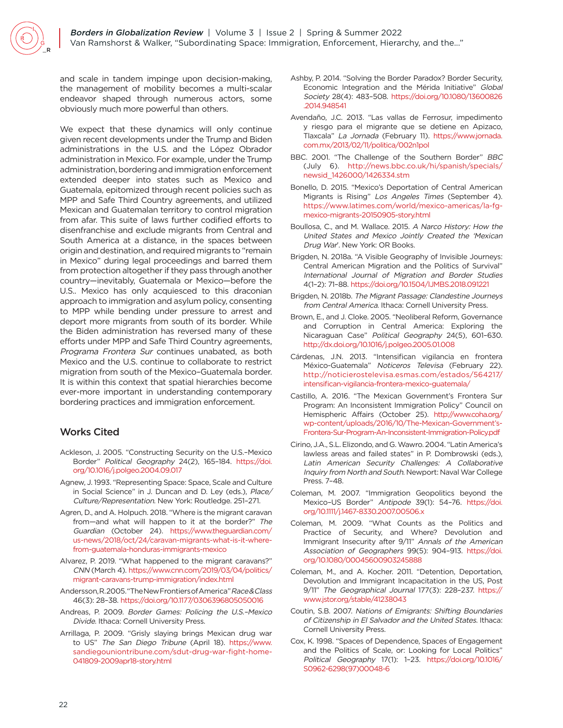and scale in tandem impinge upon decision-making, the management of mobility becomes a multi-scalar endeavor shaped through numerous actors, some obviously much more powerful than others.

We expect that these dynamics will only continue given recent developments under the Trump and Biden administrations in the U.S. and the López Obrador administration in Mexico. For example, under the Trump administration, bordering and immigration enforcement extended deeper into states such as Mexico and Guatemala, epitomized through recent policies such as MPP and Safe Third Country agreements, and utilized Mexican and Guatemalan territory to control migration from afar. This suite of laws further codified efforts to disenfranchise and exclude migrants from Central and South America at a distance, in the spaces between origin and destination, and required migrants to "remain in Mexico" during legal proceedings and barred them from protection altogether if they pass through another country—inevitably, Guatemala or Mexico—before the U.S.. Mexico has only acquiesced to this draconian approach to immigration and asylum policy, consenting to MPP while bending under pressure to arrest and deport more migrants from south of its border. While the Biden administration has reversed many of these efforts under MPP and Safe Third Country agreements, Programa Frontera Sur continues unabated, as both Mexico and the U.S. continue to collaborate to restrict migration from south of the Mexico–Guatemala border. It is within this context that spatial hierarchies become ever-more important in understanding contemporary bordering practices and immigration enforcement.

# Works Cited

- Ackleson, J. 2005. "Constructing Security on the U.S.–Mexico Border" Political Geography 24(2), 165–184. [https://doi.](https://doi.org/10.1016/j.polgeo.2004.09.017) [org/10.1016/j.polgeo.2004.09.017](https://doi.org/10.1016/j.polgeo.2004.09.017)
- Agnew, J. 1993. "Representing Space: Space, Scale and Culture in Social Science" in J. Duncan and D. Ley (eds.), Place/ Culture/Representation. New York: Routledge. 251–271.
- Agren, D., and A. Holpuch. 2018. "Where is the migrant caravan from—and what will happen to it at the border?" The Guardian (October 24). [https://www.theguardian.com/](https://www.theguardian.com/us-news/2018/oct/24/caravan-migrants-what-is-it-where-from-guatemala-honduras-immigrants-mexico) [us-news/2018/oct/24/caravan-migrants-what-is-it-where](https://www.theguardian.com/us-news/2018/oct/24/caravan-migrants-what-is-it-where-from-guatemala-honduras-immigrants-mexico)[from-guatemala-honduras-immigrants-mexico](https://www.theguardian.com/us-news/2018/oct/24/caravan-migrants-what-is-it-where-from-guatemala-honduras-immigrants-mexico)
- Alvarez, P. 2019. "What happened to the migrant caravans?" CNN (March 4). [https://www.cnn.com/2019/03/04/politics/](https://www.cnn.com/2019/03/04/politics/migrant-caravans-trump-immigration/index.html) [migrant-caravans-trump-immigration/index.html](https://www.cnn.com/2019/03/04/politics/migrant-caravans-trump-immigration/index.html)
- Andersson, R.2005. "The New Frontiers of America" Race & Class 46(3): 28–38.<https://doi.org/10.1177/0306396805050016>
- Andreas, P. 2009. Border Games: Policing the U.S.–Mexico Divide. Ithaca: Cornell University Press.
- Arrillaga, P. 2009. "Grisly slaying brings Mexican drug war to US" The San Diego Tribune (April 18). [https://www.](https://www.sandiegouniontribune.com/sdut-drug-war-fight-home-041809-2009apr18-story.html) [sandiegouniontribune.com/sdut-drug-war-fight-home-](https://www.sandiegouniontribune.com/sdut-drug-war-fight-home-041809-2009apr18-story.html)[041809-2009apr18-story.html](https://www.sandiegouniontribune.com/sdut-drug-war-fight-home-041809-2009apr18-story.html)
- Ashby, P. 2014. "Solving the Border Paradox? Border Security, Economic Integration and the Mérida Initiative" Global Society 28(4): 483–508. [https://doi.org/10.1080/13600826](https://doi.org/10.1080/13600826.2014.948541) [.2014.948541](https://doi.org/10.1080/13600826.2014.948541)
- Avendaño, J.C. 2013. "Las vallas de Ferrosur, impedimento y riesgo para el migrante que se detiene en Apizaco, Tlaxcala" La Jornada (February 11). [https://www.jornada.](https://www.jornada.com.mx/2013/02/11/politica/002n1pol) [com.mx/2013/02/11/politica/002n1pol](https://www.jornada.com.mx/2013/02/11/politica/002n1pol)
- BBC. 2001. "The Challenge of the Southern Border" BBC (July 6). [http://news.bbc.co.uk/hi/spanish/specials/](http://news.bbc.co.uk/hi/spanish/specials/newsid_1426000/1426334.stm) [newsid\\_1426000/1426334.stm](http://news.bbc.co.uk/hi/spanish/specials/newsid_1426000/1426334.stm)
- Bonello, D. 2015. "Mexico's Deportation of Central American Migrants is Rising" Los Angeles Times (September 4). [https://www.latimes.com/world/mexico-americas/la-fg](https://www.latimes.com/world/mexico-americas/la-fg-mexico-migrants-20150905-story.html)[mexico-migrants-20150905-story.html](https://www.latimes.com/world/mexico-americas/la-fg-mexico-migrants-20150905-story.html)
- Boullosa, C., and M. Wallace. 2015. A Narco History: How the United States and Mexico Jointly Created the 'Mexican Drug War'. New York: OR Books.
- Brigden, N. 2018a. "A Visible Geography of Invisible Journeys: Central American Migration and the Politics of Survival" International Journal of Migration and Border Studies 4(1–2): 71–88. <https://doi.org/10.1504/IJMBS.2018.091221>
- Brigden, N. 2018b. The Migrant Passage: Clandestine Journeys from Central America. Ithaca: Cornell University Press.
- Brown, E., and J. Cloke. 2005. "Neoliberal Reform, Governance and Corruption in Central America: Exploring the Nicaraguan Case" Political Geography 24(5), 601–630. <http://dx.doi.org/10.1016/j.polgeo.2005.01.008>
- Cárdenas, J.N. 2013. "Intensifican vigilancia en frontera México-Guatemala" Noticeros Televisa (February 22). [http://noticierostelevisa.esmas.com/estados/564217/](http://noticierostelevisa.esmas.com/estados/564217/intensifican-vigilancia-frontera-mexico-guatemala/) [intensifican-vigilancia-frontera-mexico-guatemala/](http://noticierostelevisa.esmas.com/estados/564217/intensifican-vigilancia-frontera-mexico-guatemala/)
- Castillo, A. 2016. "The Mexican Government's Frontera Sur Program: An Inconsistent Immigration Policy" Council on Hemispheric Affairs (October 25). [http://www.coha.org/](http://www.coha.org/wp-content/uploads/2016/10/The-Mexican-Government’s-Frontera-Sur-Program-An-Inconsistent-Immigration-Policy.pdf) [wp-content/uploads/2016/10/The-Mexican-Government's-](http://www.coha.org/wp-content/uploads/2016/10/The-Mexican-Government’s-Frontera-Sur-Program-An-Inconsistent-Immigration-Policy.pdf)[Frontera-Sur-Program-An-Inconsistent-Immigration-Policy.pdf](http://www.coha.org/wp-content/uploads/2016/10/The-Mexican-Government’s-Frontera-Sur-Program-An-Inconsistent-Immigration-Policy.pdf)
- Cirino, J.A., S.L. Elizondo, and G. Wawro. 2004. "Latin America's lawless areas and failed states" in P. Dombrowski (eds.), Latin American Security Challenges: A Collaborative Inquiry from North and South. Newport: Naval War College Press. 7–48.
- Coleman, M. 2007. "Immigration Geopolitics beyond the Mexico–US Border" Antipode 39(1): 54–76. [https://doi.](https://doi.org/10.1111/j.1467-8330.2007.00506.x) [org/10.1111/j.1467-8330.2007.00506.x](https://doi.org/10.1111/j.1467-8330.2007.00506.x)
- Coleman, M. 2009. "What Counts as the Politics and Practice of Security, and Where? Devolution and Immigrant Insecurity after 9/11" Annals of the American Association of Geographers 99(5): 904–913. [https://doi.](https://doi.org/10.1080/00045600903245888) [org/10.1080/00045600903245888](https://doi.org/10.1080/00045600903245888)
- Coleman, M., and A. Kocher. 2011. "Detention, Deportation, Devolution and Immigrant Incapacitation in the US, Post 9/11" The Geographical Journal 177(3): 228–237. [https://](https://www.jstor.org/stable/41238043) [www.jstor.org/stable/41238043](https://www.jstor.org/stable/41238043)
- Coutin, S.B. 2007. Nations of Emigrants: Shifting Boundaries of Citizenship in El Salvador and the United States. Ithaca: Cornell University Press.
- Cox, K. 1998. "Spaces of Dependence, Spaces of Engagement and the Politics of Scale, or: Looking for Local Politics" Political Geography 17(1): 1–23. [https://doi.org/10.1016/](https://doi.org/10.1016/S0962-6298(97)00048-6) [S0962-6298\(97\)00048-6](https://doi.org/10.1016/S0962-6298(97)00048-6)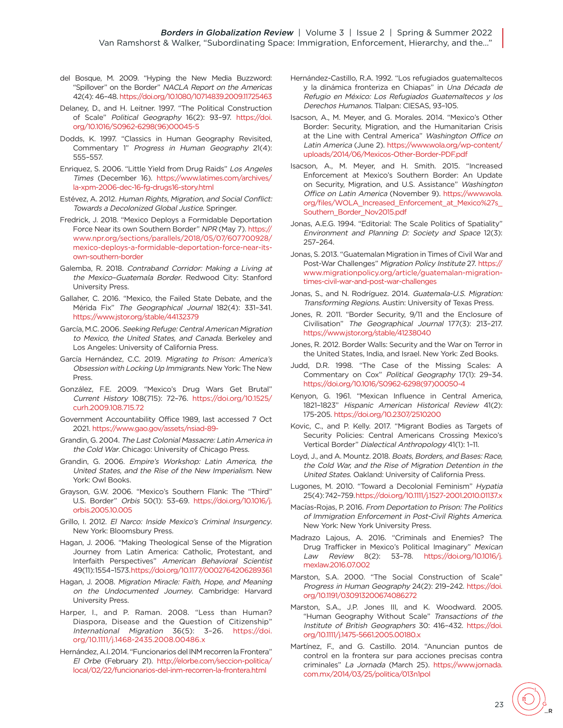- del Bosque, M. 2009. "Hyping the New Media Buzzword: "Spillover" on the Border" NACLA Report on the Americas 42(4): 46–48.<https://doi.org/10.1080/10714839.2009.11725463>
- Delaney, D., and H. Leitner. 1997. "The Political Construction of Scale" Political Geography 16(2): 93–97. [https://doi.](https://doi.org/10.1016/S0962-6298(96)00045-5) [org/10.1016/S0962-6298\(96\)00045-5](https://doi.org/10.1016/S0962-6298(96)00045-5)
- Dodds, K. 1997. "Classics in Human Geography Revisited, Commentary 1" Progress in Human Geography 21(4): 555–557.
- Enriquez, S. 2006. "Little Yield from Drug Raids" Los Angeles Times (December 16). [https://www.latimes.com/archives/](https://www.latimes.com/archives/la-xpm-2006-dec-16-fg-drugs16-story.html) [la-xpm-2006-dec-16-fg-drugs16-story.html](https://www.latimes.com/archives/la-xpm-2006-dec-16-fg-drugs16-story.html)
- Estévez, A. 2012. Human Rights, Migration, and Social Conflict: Towards a Decolonized Global Justice. Springer.
- Fredrick, J. 2018. "Mexico Deploys a Formidable Deportation Force Near its own Southern Border" NPR (May 7). [https://](https://www.npr.org/sections/parallels/2018/05/07/607700928/mexico-deploys-a-formidable-deportation-force-near-its-own-southern-border) [www.npr.org/sections/parallels/2018/05/07/607700928/](https://www.npr.org/sections/parallels/2018/05/07/607700928/mexico-deploys-a-formidable-deportation-force-near-its-own-southern-border) [mexico-deploys-a-formidable-deportation-force-near-its](https://www.npr.org/sections/parallels/2018/05/07/607700928/mexico-deploys-a-formidable-deportation-force-near-its-own-southern-border)[own-southern-border](https://www.npr.org/sections/parallels/2018/05/07/607700928/mexico-deploys-a-formidable-deportation-force-near-its-own-southern-border)
- Galemba, R. 2018. Contraband Corridor: Making a Living at the Mexico–Guatemala Border. Redwood City: Stanford University Press.
- Gallaher, C. 2016. "Mexico, the Failed State Debate, and the Mérida Fix" The Geographical Journal 182(4): 331–341. <https://www.jstor.org/stable/44132379>
- García, M.C. 2006. Seeking Refuge: Central American Migration to Mexico, the United States, and Canada. Berkeley and Los Angeles: University of California Press.
- García Hernández, C.C. 2019. Migrating to Prison: America's Obsession with Locking Up Immigrants. New York: The New Press.
- González, F.E. 2009. "Mexico's Drug Wars Get Brutal" Current History 108(715): 72–76. [https://doi.org/10.1525/](https://doi.org/10.1525/curh.2009.108.715.72) [curh.2009.108.715.72](https://doi.org/10.1525/curh.2009.108.715.72)
- Government Accountability Office 1989, last accessed 7 Oct 2021.<https://www.gao.gov/assets/nsiad-89->
- Grandin, G. 2004. The Last Colonial Massacre: Latin America in the Cold War. Chicago: University of Chicago Press.
- Grandin, G. 2006. Empire's Workshop: Latin America, the United States, and the Rise of the New Imperialism. New York: Owl Books.
- Grayson, G.W. 2006. "Mexico's Southern Flank: The "Third" U.S. Border" Orbis 50(1): 53–69. [https://doi.org/10.1016/j.](https://doi.org/10.1016/j.orbis.2005.10.005) [orbis.2005.10.005](https://doi.org/10.1016/j.orbis.2005.10.005)
- Grillo, I. 2012. El Narco: Inside Mexico's Criminal Insurgency. New York: Bloomsbury Press.
- Hagan, J. 2006. "Making Theological Sense of the Migration Journey from Latin America: Catholic, Protestant, and Interfaith Perspectives" American Behavioral Scientist 49(11): 1554–1573[. https://doi.org/10.1177/0002764206289361](https://doi.org/10.1177/0002764206289361)
- Hagan, J. 2008. Migration Miracle: Faith, Hope, and Meaning on the Undocumented Journey. Cambridge: Harvard University Press.
- Harper, I., and P. Raman. 2008. "Less than Human? Diaspora, Disease and the Question of Citizenship" International Migration 36(5): 3–26. [https://doi.](https://doi.org/10.1111/j.1468-2435.2008.00486.x) [org/10.1111/j.1468-2435.2008.00486.x](https://doi.org/10.1111/j.1468-2435.2008.00486.x)
- Hernández, A.I. 2014. "Funcionarios del INM recorren la Frontera" El Orbe (February 21). [http://elorbe.com/seccion-politica/](http://elorbe.com/seccion-politica/local/02/22/funcionarios-del-inm-recorren-la-frontera.html) [local/02/22/funcionarios-del-inm-recorren-la-frontera.html](http://elorbe.com/seccion-politica/local/02/22/funcionarios-del-inm-recorren-la-frontera.html)
- Hernández-Castillo, R.A. 1992. "Los refugiados guatemaltecos y la dinámica fronteriza en Chiapas" in Una Década de Refugio en México: Los Refugiados Guatemaltecos y los Derechos Humanos. Tlalpan: CIESAS, 93–105.
- Isacson, A., M. Meyer, and G. Morales. 2014. "Mexico's Other Border: Security, Migration, and the Humanitarian Crisis at the Line with Central America" Washington Office on Latin America (June 2). [https://www.wola.org/wp-content/](https://www.wola.org/wp-content/uploads/2014/06/Mexicos-Other-Border-PDF.pdf) [uploads/2014/06/Mexicos-Other-Border-PDF.pdf](https://www.wola.org/wp-content/uploads/2014/06/Mexicos-Other-Border-PDF.pdf)
- Isacson, A., M. Meyer, and H. Smith. 2015. "Increased Enforcement at Mexico's Southern Border: An Update on Security, Migration, and U.S. Assistance" Washington Office on Latin America (November 9). [https://www.wola.](https://www.wola.org/files/WOLA_Increased_Enforcement_at_Mexico%27s_Southern_Border_Nov2015.pdf) [org/files/WOLA\\_Increased\\_Enforcement\\_at\\_Mexico%27s\\_](https://www.wola.org/files/WOLA_Increased_Enforcement_at_Mexico%27s_Southern_Border_Nov2015.pdf) [Southern\\_Border\\_Nov2015.pdf](https://www.wola.org/files/WOLA_Increased_Enforcement_at_Mexico%27s_Southern_Border_Nov2015.pdf)
- Jonas, A.E.G. 1994. "Editorial: The Scale Politics of Spatiality" Environment and Planning D: Society and Space 12(3): 257–264.
- Jonas, S. 2013. "Guatemalan Migration in Times of Civil War and Post-War Challenges" Migration Policy Institute 27. [https://](https://www.migrationpolicy.org/article/guatemalan-migration-times-civil-war-and-post-war-challenges) [www.migrationpolicy.org/article/guatemalan-migration](https://www.migrationpolicy.org/article/guatemalan-migration-times-civil-war-and-post-war-challenges)[times-civil-war-and-post-war-challenges](https://www.migrationpolicy.org/article/guatemalan-migration-times-civil-war-and-post-war-challenges)
- Jonas, S., and N. Rodríguez. 2014. Guatemala-U.S. Migration: Transforming Regions. Austin: University of Texas Press.
- Jones, R. 2011. "Border Security, 9/11 and the Enclosure of Civilisation" The Geographical Journal 177(3): 213–217. <https://www.jstor.org/stable/41238040>
- Jones, R. 2012. Border Walls: Security and the War on Terror in the United States, India, and Israel. New York: Zed Books.
- Judd, D.R. 1998. "The Case of the Missing Scales: A Commentary on Cox" Political Geography 17(1): 29–34. [https://doi.org/10.1016/S0962-6298\(97\)00050-4](https://doi.org/10.1016/S0962-6298(97)00050-4)
- Kenyon, G. 1961. "Mexican Influence in Central America, 1821–1823" Hispanic American Historical Review 41(2): 175-205.<https://doi.org/10.2307/2510200>
- Kovic, C., and P. Kelly. 2017. "Migrant Bodies as Targets of Security Policies: Central Americans Crossing Mexico's Vertical Border" Dialectical Anthropology 41(1): 1–11.
- Loyd, J., and A. Mountz. 2018. Boats, Borders, and Bases: Race, the Cold War, and the Rise of Migration Detention in the United States. Oakland: University of California Press.
- Lugones, M. 2010. "Toward a Decolonial Feminism" Hypatia 25(4): 742–759.<https://doi.org/10.1111/j.1527-2001.2010.01137.x>
- Macías-Rojas, P. 2016. From Deportation to Prison: The Politics of Immigration Enforcement in Post-Civil Rights America. New York: New York University Press.
- Madrazo Lajous, A. 2016. "Criminals and Enemies? The Drug Trafficker in Mexico's Political Imaginary" Mexican Law Review 8(2): 53–78. [https://doi.org/10.1016/j.](https://doi.org/10.1016/j.mexlaw.2016.07.002) [mexlaw.2016.07.002](https://doi.org/10.1016/j.mexlaw.2016.07.002)
- Marston, S.A. 2000. "The Social Construction of Scale" Progress in Human Geography 24(2): 219–242. [https://doi.](https://doi.org/10.1191/030913200674086272) [org/10.1191/030913200674086272](https://doi.org/10.1191/030913200674086272)
- Marston, S.A., J.P. Jones III, and K. Woodward. 2005. "Human Geography Without Scale" Transactions of the Institute of British Geographers 30: 416–432. [https://doi.](https://doi.org/10.1111/j.1475-5661.2005.00180.x) [org/10.1111/j.1475-5661.2005.00180.x](https://doi.org/10.1111/j.1475-5661.2005.00180.x)
- Martínez, F., and G. Castillo. 2014. "Anuncian puntos de control en la frontera sur para acciones precisas contra criminales" La Jornada (March 25). [https://www.jornada.](https://www.jornada.com.mx/2014/03/25/politica/013n1pol) [com.mx/2014/03/25/politica/013n1pol](https://www.jornada.com.mx/2014/03/25/politica/013n1pol)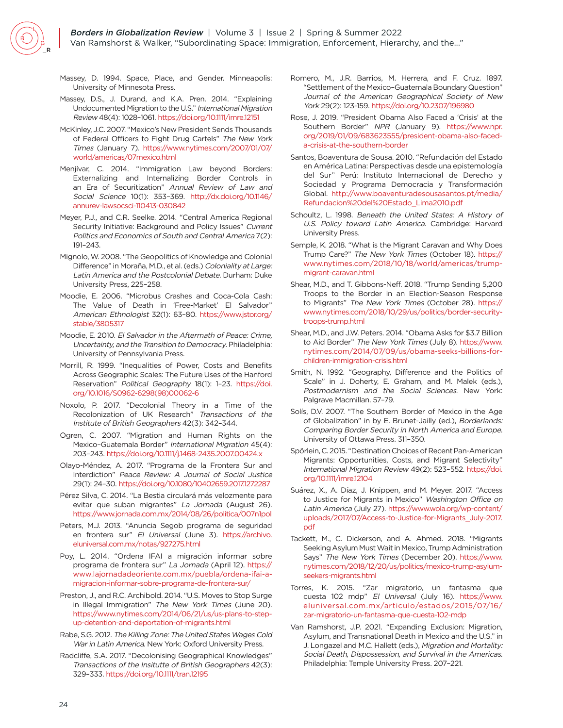

- Massey, D. 1994. Space, Place, and Gender. Minneapolis: University of Minnesota Press.
- Massey, D.S., J. Durand, and K.A. Pren. 2014. "Explaining Undocumented Migration to the U.S." International Migration Review 48(4): 1028–1061.<https://doi.org/10.1111/imre.12151>
- McKinley, J.C. 2007. "Mexico's New President Sends Thousands of Federal Officers to Fight Drug Cartels" The New York Times (January 7). [https://www.nytimes.com/2007/01/07/](https://www.nytimes.com/2007/01/07/world/americas/07mexico.html) [world/americas/07mexico.html](https://www.nytimes.com/2007/01/07/world/americas/07mexico.html)
- Menjívar, C. 2014. "Immigration Law beyond Borders: Externalizing and Internalizing Border Controls in an Era of Securitization" Annual Review of Law and Social Science 10(1): 353–369. [http://dx.doi.org/10.1146/](http://dx.doi.org/10.1146/annurev-lawsocsci-110413-030842) [annurev-lawsocsci-110413-030842](http://dx.doi.org/10.1146/annurev-lawsocsci-110413-030842)
- Meyer, P.J., and C.R. Seelke. 2014. "Central America Regional Security Initiative: Background and Policy Issues" Current Politics and Economics of South and Central America 7(2): 191–243.
- Mignolo, W. 2008. "The Geopolitics of Knowledge and Colonial Difference" in Moraña, M.D., et al. (eds.) Coloniality at Large: Latin America and the Postcolonial Debate. Durham: Duke University Press, 225–258.
- Moodie, E. 2006. "Microbus Crashes and Coca-Cola Cash: The Value of Death in 'Free-Market' El Salvador" American Ethnologist 32(1): 63–80. [https://www.jstor.org/](https://www.jstor.org/stable/3805317) [stable/3805317](https://www.jstor.org/stable/3805317)
- Moodie, E. 2010. El Salvador in the Aftermath of Peace: Crime, Uncertainty, and the Transition to Democracy. Philadelphia: University of Pennsylvania Press.
- Morrill, R. 1999. "Inequalities of Power, Costs and Benefits Across Geographic Scales: The Future Uses of the Hanford Reservation" Political Geography 18(1): 1-23. [https://doi.](https://doi.org/10.1016/S0962-6298(98)00062-6) [org/10.1016/S0962-6298\(98\)00062-6](https://doi.org/10.1016/S0962-6298(98)00062-6)
- Noxolo, P. 2017. "Decolonial Theory in a Time of the Recolonization of UK Research" Transactions of the Institute of British Geographers 42(3): 342–344.
- Ogren, C. 2007. "Migration and Human Rights on the Mexico–Guatemala Border" International Migration 45(4): 203–243.<https://doi.org/10.1111/j.1468-2435.2007.00424.x>
- Olayo-Méndez, A. 2017. "Programa de la Frontera Sur and Interdiction" Peace Review: A Journal of Social Justice 29(1): 24–30.<https://doi.org/10.1080/10402659.2017.1272287>
- Pérez Silva, C. 2014. "La Bestia circulará más velozmente para evitar que suban migrantes" La Jornada (August 26). <https://www.jornada.com.mx/2014/08/26/politica/007n1pol>
- Peters, M.J. 2013. "Anuncia Segob programa de seguridad en frontera sur" El Universal (June 3). [https://archivo.](https://archivo.eluniversal.com.mx/notas/927275.html) [eluniversal.com.mx/notas/927275.html](https://archivo.eluniversal.com.mx/notas/927275.html)
- Poy, L. 2014. "Ordena IFAI a migración informar sobre programa de frontera sur" La Jornada (April 12). [https://](https://www.lajornadadeoriente.com.mx/puebla/ordena-ifai-a-migracion-informar-sobre-programa-de-frontera-sur/ ) [www.lajornadadeoriente.com.mx/puebla/ordena-ifai-a](https://www.lajornadadeoriente.com.mx/puebla/ordena-ifai-a-migracion-informar-sobre-programa-de-frontera-sur/ )[migracion-informar-sobre-programa-de-frontera-sur/](https://www.lajornadadeoriente.com.mx/puebla/ordena-ifai-a-migracion-informar-sobre-programa-de-frontera-sur/ )
- Preston, J., and R.C. Archibold. 2014. "U.S. Moves to Stop Surge in Illegal Immigration" The New York Times (June 20). [https://www.nytimes.com/2014/06/21/us/us-plans-to-step](https://www.nytimes.com/2014/06/21/us/us-plans-to-step-up-detention-and-deportation-of-migrants.html)[up-detention-and-deportation-of-migrants.html](https://www.nytimes.com/2014/06/21/us/us-plans-to-step-up-detention-and-deportation-of-migrants.html)
- Rabe, S.G. 2012. The Killing Zone: The United States Wages Cold War in Latin America. New York: Oxford University Press.
- Radcliffe, S.A. 2017. "Decolonising Geographical Knowledges" Transactions of the Insitutte of British Geographers 42(3): 329–333.<https://doi.org/10.1111/tran.12195>
- Romero, M., J.R. Barrios, M. Herrera, and F. Cruz. 1897. "Settlement of the Mexico–Guatemala Boundary Question" Journal of the American Geographical Society of New York 29(2): 123-159.<https://doi.org/10.2307/196980>
- Rose, J. 2019. "President Obama Also Faced a 'Crisis' at the Southern Border" NPR (January 9). [https://www.npr.](https://www.npr.org/2019/01/09/683623555/president-obama-also-faced-a-crisis-at-the-southern-border) [org/2019/01/09/683623555/president-obama-also-faced](https://www.npr.org/2019/01/09/683623555/president-obama-also-faced-a-crisis-at-the-southern-border)[a-crisis-at-the-southern-border](https://www.npr.org/2019/01/09/683623555/president-obama-also-faced-a-crisis-at-the-southern-border)
- Santos, Boaventura de Sousa. 2010. "Refundación del Estado en América Latina: Perspectivas desde una epistemología del Sur" Perú: Instituto Internacional de Derecho y Sociedad y Programa Democracia y Transformación Global. [http://www.boaventuradesousasantos.pt/media/](http://www.boaventuradesousasantos.pt/media/Refundacion%20del%20Estado_Lima2010.pdf) [Refundacion%20del%20Estado\\_Lima2010.pdf](http://www.boaventuradesousasantos.pt/media/Refundacion%20del%20Estado_Lima2010.pdf)
- Schoultz, L. 1998. Beneath the United States: A History of U.S. Policy toward Latin America. Cambridge: Harvard University Press.
- Semple, K. 2018. "What is the Migrant Caravan and Why Does Trump Care?" The New York Times (October 18). [https://](https://www.nytimes.com/2018/10/18/world/americas/trump-migrant-caravan.html) [www.nytimes.com/2018/10/18/world/americas/trump](https://www.nytimes.com/2018/10/18/world/americas/trump-migrant-caravan.html)[migrant-caravan.html](https://www.nytimes.com/2018/10/18/world/americas/trump-migrant-caravan.html)
- Shear, M.D., and T. Gibbons-Neff. 2018. "Trump Sending 5,200 Troops to the Border in an Election-Season Response to Migrants" The New York Times (October 28). [https://](https://www.nytimes.com/2018/10/29/us/politics/border-security-troops-trump.html) [www.nytimes.com/2018/10/29/us/politics/border-security](https://www.nytimes.com/2018/10/29/us/politics/border-security-troops-trump.html)[troops-trump.html](https://www.nytimes.com/2018/10/29/us/politics/border-security-troops-trump.html)
- Shear, M.D., and J.W. Peters. 2014. "Obama Asks for \$3.7 Billion to Aid Border" The New York Times (July 8). [https://www.](https://www.nytimes.com/2014/07/09/us/obama-seeks-billions-for-children-immigration-crisis.html) [nytimes.com/2014/07/09/us/obama-seeks-billions-for](https://www.nytimes.com/2014/07/09/us/obama-seeks-billions-for-children-immigration-crisis.html)[children-immigration-crisis.html](https://www.nytimes.com/2014/07/09/us/obama-seeks-billions-for-children-immigration-crisis.html)
- Smith, N. 1992. "Geography, Difference and the Politics of Scale" in J. Doherty, E. Graham, and M. Malek (eds.), Postmodernism and the Social Sciences. New York: Palgrave Macmillan. 57–79.
- Solís, D.V. 2007. "The Southern Border of Mexico in the Age of Globalization" in by E. Brunet-Jailly (ed.), Borderlands: Comparing Border Security in North America and Europe. University of Ottawa Press. 311–350.
- Spörlein, C. 2015. "Destination Choices of Recent Pan-American Migrants: Opportunities, Costs, and Migrant Selectivity" International Migration Review 49(2): 523–552. [https://doi.](https://doi.org/10.1111/imre.12104) [org/10.1111/imre.12104](https://doi.org/10.1111/imre.12104)
- Suárez, X., A. Díaz, J. Knippen, and M. Meyer. 2017. "Access to Justice for Migrants in Mexico" Washington Office on Latin America (July 27). [https://www.wola.org/wp-content/](https://www.wola.org/wp-content/uploads/2017/07/Access-to-Justice-for-Migrants_July-2017.pdf) [uploads/2017/07/Access-to-Justice-for-Migrants\\_July-2017.](https://www.wola.org/wp-content/uploads/2017/07/Access-to-Justice-for-Migrants_July-2017.pdf) [pdf](https://www.wola.org/wp-content/uploads/2017/07/Access-to-Justice-for-Migrants_July-2017.pdf)
- Tackett, M., C. Dickerson, and A. Ahmed. 2018. "Migrants Seeking Asylum Must Wait in Mexico, Trump Administration Says" The New York Times (December 20). [https://www.](https://www.nytimes.com/2018/12/20/us/politics/mexico-trump-asylum-seekers-migrants.html ) [nytimes.com/2018/12/20/us/politics/mexico-trump-asylum](https://www.nytimes.com/2018/12/20/us/politics/mexico-trump-asylum-seekers-migrants.html )[seekers-migrants.html](https://www.nytimes.com/2018/12/20/us/politics/mexico-trump-asylum-seekers-migrants.html )
- Torres, K. 2015. "Zar migratorio, un fantasma que cuesta 102 mdp" El Universal (July 16). [https://www.](https://www.eluniversal.com.mx/articulo/estados/2015/07/16/zar-migratorio-un-fantasma-que-cuesta-102-mdp) [eluniversal.com.mx/articulo/estados/2015/07/16/](https://www.eluniversal.com.mx/articulo/estados/2015/07/16/zar-migratorio-un-fantasma-que-cuesta-102-mdp) [zar-migratorio-un-fantasma-que-cuesta-102-mdp](https://www.eluniversal.com.mx/articulo/estados/2015/07/16/zar-migratorio-un-fantasma-que-cuesta-102-mdp)
- Van Ramshorst, J.P. 2021. "Expanding Exclusion: Migration, Asylum, and Transnational Death in Mexico and the U.S." in J. Longazel and M.C. Hallett (eds.), Migration and Mortality: Social Death, Dispossession, and Survival in the Americas. Philadelphia: Temple University Press. 207–221.